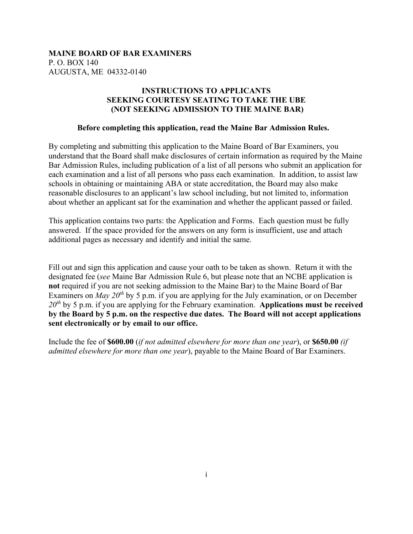### **INSTRUCTIONS TO APPLICANTS SEEKING COURTESY SEATING TO TAKE THE UBE (NOT SEEKING ADMISSION TO THE MAINE BAR)**

#### **Before completing this application, read the Maine Bar Admission Rules.**

By completing and submitting this application to the Maine Board of Bar Examiners, you understand that the Board shall make disclosures of certain information as required by the Maine Bar Admission Rules, including publication of a list of all persons who submit an application for each examination and a list of all persons who pass each examination. In addition, to assist law schools in obtaining or maintaining ABA or state accreditation, the Board may also make reasonable disclosures to an applicant's law school including, but not limited to, information about whether an applicant sat for the examination and whether the applicant passed or failed.

This application contains two parts: the Application and Forms. Each question must be fully answered. If the space provided for the answers on any form is insufficient, use and attach additional pages as necessary and identify and initial the same.

Fill out and sign this application and cause your oath to be taken as shown. Return it with the designated fee (*see* Maine Bar Admission Rule 6, but please note that an NCBE application is **not** required if you are not seeking admission to the Maine Bar) to the Maine Board of Bar Examiners on *May 20<sup>th</sup>* by 5 p.m. if you are applying for the July examination, or on December *20th* by 5 p.m. if you are applying for the February examination. **Applications must be received by the Board by 5 p.m. on the respective due dates. The Board will not accept applications sent electronically or by email to our office.** 

Include the fee of **\$600.00** (*if not admitted elsewhere for more than one year*), or **\$650.00** *(if admitted elsewhere for more than one year*), payable to the Maine Board of Bar Examiners.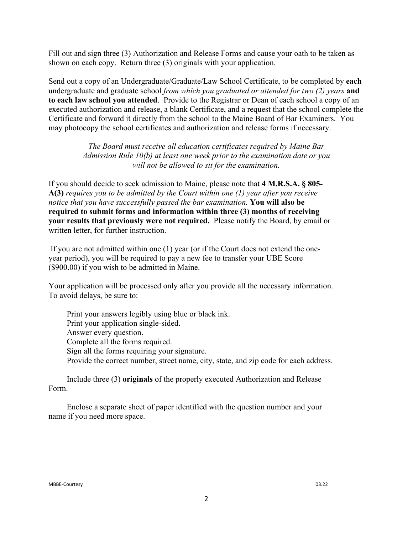Fill out and sign three (3) Authorization and Release Forms and cause your oath to be taken as shown on each copy. Return three (3) originals with your application.

Send out a copy of an Undergraduate/Graduate/Law School Certificate, to be completed by **each** undergraduate and graduate school *from which you graduated or attended for two (2) years* **and to each law school you attended**. Provide to the Registrar or Dean of each school a copy of an executed authorization and release, a blank Certificate, and a request that the school complete the Certificate and forward it directly from the school to the Maine Board of Bar Examiners. You may photocopy the school certificates and authorization and release forms if necessary.

> *The Board must receive all education certificates required by Maine Bar Admission Rule 10(b) at least one week prior to the examination date or you will not be allowed to sit for the examination.*

If you should decide to seek admission to Maine, please note that **4 M.R.S.A. § 805- A(3)** *requires you to be admitted by the Court within one (1) year after you receive notice that you have successfully passed the bar examination.* **You will also be required to submit forms and information within three (3) months of receiving your results that previously were not required.** Please notify the Board, by email or written letter, for further instruction.

If you are not admitted within one (1) year (or if the Court does not extend the oneyear period), you will be required to pay a new fee to transfer your UBE Score (\$900.00) if you wish to be admitted in Maine.

Your application will be processed only after you provide all the necessary information. To avoid delays, be sure to:

Print your answers legibly using blue or black ink. Print your application single-sided. Answer every question. Complete all the forms required. Sign all the forms requiring your signature. Provide the correct number, street name, city, state, and zip code for each address.

Include three (3) **originals** of the properly executed Authorization and Release Form.

Enclose a separate sheet of paper identified with the question number and your name if you need more space.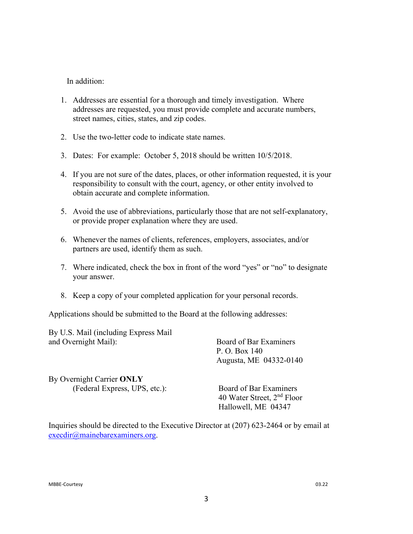### In addition:

- 1. Addresses are essential for a thorough and timely investigation. Where addresses are requested, you must provide complete and accurate numbers, street names, cities, states, and zip codes.
- 2. Use the two-letter code to indicate state names.
- 3. Dates: For example: October 5, 2018 should be written 10/5/2018.
- 4. If you are not sure of the dates, places, or other information requested, it is your responsibility to consult with the court, agency, or other entity involved to obtain accurate and complete information.
- 5. Avoid the use of abbreviations, particularly those that are not self-explanatory, or provide proper explanation where they are used.
- 6. Whenever the names of clients, references, employers, associates, and/or partners are used, identify them as such.
- 7. Where indicated, check the box in front of the word "yes" or "no" to designate your answer.
- 8. Keep a copy of your completed application for your personal records.

Applications should be submitted to the Board at the following addresses:

By U.S. Mail (including Express Mail and Overnight Mail): Board of Bar Examiners

 P. O. Box 140 Augusta, ME 04332-0140

By Overnight Carrier **ONLY** (Federal Express, UPS, etc.): Board of Bar Examiners

 40 Water Street, 2nd Floor Hallowell, ME 04347

Inquiries should be directed to the Executive Director at (207) 623-2464 or by email at [execdir@mainebarexaminers.org.](mailto:execdir@mainebarexaminers.org)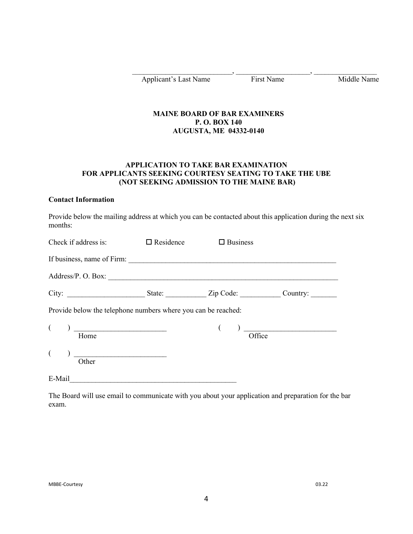Applicant's Last Name First Name Middle Name

### **MAINE BOARD OF BAR EXAMINERS P. O. BOX 140 AUGUSTA, ME 04332-0140**

 $\qquad \qquad , \qquad \qquad , \qquad \qquad , \qquad \qquad , \qquad \qquad .$ 

### **APPLICATION TO TAKE BAR EXAMINATION FOR APPLICANTS SEEKING COURTESY SEATING TO TAKE THE UBE (NOT SEEKING ADMISSION TO THE MAINE BAR)**

#### **Contact Information**

Provide below the mailing address at which you can be contacted about this application during the next six months:

| Check if address is: $\Box$ Residence                                                                                                                                                                                                                                                                                                                                                                                                                                                | $\Box$ Business                                                                                                                                                                                                                                                                                                                                                                                                                   |  |
|--------------------------------------------------------------------------------------------------------------------------------------------------------------------------------------------------------------------------------------------------------------------------------------------------------------------------------------------------------------------------------------------------------------------------------------------------------------------------------------|-----------------------------------------------------------------------------------------------------------------------------------------------------------------------------------------------------------------------------------------------------------------------------------------------------------------------------------------------------------------------------------------------------------------------------------|--|
|                                                                                                                                                                                                                                                                                                                                                                                                                                                                                      |                                                                                                                                                                                                                                                                                                                                                                                                                                   |  |
|                                                                                                                                                                                                                                                                                                                                                                                                                                                                                      |                                                                                                                                                                                                                                                                                                                                                                                                                                   |  |
|                                                                                                                                                                                                                                                                                                                                                                                                                                                                                      |                                                                                                                                                                                                                                                                                                                                                                                                                                   |  |
| Provide below the telephone numbers where you can be reached:                                                                                                                                                                                                                                                                                                                                                                                                                        |                                                                                                                                                                                                                                                                                                                                                                                                                                   |  |
| $\left(\begin{array}{c} \hline \end{array}\right)$ Home                                                                                                                                                                                                                                                                                                                                                                                                                              | $\frac{1}{\sqrt{1-\frac{1}{\sqrt{1-\frac{1}{\sqrt{1-\frac{1}{\sqrt{1-\frac{1}{\sqrt{1-\frac{1}{\sqrt{1-\frac{1}{\sqrt{1-\frac{1}{\sqrt{1-\frac{1}{\sqrt{1-\frac{1}{\sqrt{1-\frac{1}{\sqrt{1-\frac{1}{\sqrt{1-\frac{1}{\sqrt{1-\frac{1}{\sqrt{1-\frac{1}{\sqrt{1-\frac{1}{\sqrt{1-\frac{1}{\sqrt{1-\frac{1}{\sqrt{1-\frac{1}{\sqrt{1-\frac{1}{\sqrt{1-\frac{1}{\sqrt{1-\frac{1}{\sqrt{1-\frac{1}{\sqrt{1-\frac{1}{\sqrt{1-\frac{1$ |  |
| $\frac{1}{\sqrt{1-\frac{1}{\sqrt{1-\frac{1}{\sqrt{1-\frac{1}{\sqrt{1-\frac{1}{\sqrt{1-\frac{1}{\sqrt{1-\frac{1}{\sqrt{1-\frac{1}{\sqrt{1-\frac{1}{\sqrt{1-\frac{1}{\sqrt{1-\frac{1}{\sqrt{1-\frac{1}{\sqrt{1-\frac{1}{\sqrt{1-\frac{1}{\sqrt{1-\frac{1}{\sqrt{1-\frac{1}{\sqrt{1-\frac{1}{\sqrt{1-\frac{1}{\sqrt{1-\frac{1}{\sqrt{1-\frac{1}{\sqrt{1-\frac{1}{\sqrt{1-\frac{1}{\sqrt{1-\frac{1}{\sqrt{1-\frac{1}{\sqrt{1-\frac{1$<br>$\overline{\overline{\mathrm{O}}\mathrm{ther}}$ |                                                                                                                                                                                                                                                                                                                                                                                                                                   |  |
| E-Mail                                                                                                                                                                                                                                                                                                                                                                                                                                                                               |                                                                                                                                                                                                                                                                                                                                                                                                                                   |  |

The Board will use email to communicate with you about your application and preparation for the bar exam.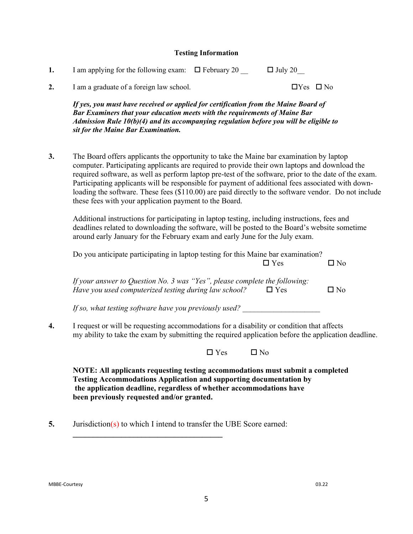#### **Testing Information**

| I am applying for the following exam: $\Box$ February 20 | $\Box$ July 20 |
|----------------------------------------------------------|----------------|
|                                                          |                |
|                                                          |                |

**2.** I am a graduate of a foreign law school.  $\Box$  Yes  $\Box$  No

*If yes, you must have received or applied for certification from the Maine Board of Bar Examiners that your education meets with the requirements of Maine Bar Admission Rule 10(b)(4) and its accompanying regulation before you will be eligible to sit for the Maine Bar Examination.*

**3.** The Board offers applicants the opportunity to take the Maine bar examination by laptop computer. Participating applicants are required to provide their own laptops and download the required software, as well as perform laptop pre-test of the software, prior to the date of the exam. Participating applicants will be responsible for payment of additional fees associated with downloading the software. These fees (\$110.00) are paid directly to the software vendor. Do not include these fees with your application payment to the Board.

Additional instructions for participating in laptop testing, including instructions, fees and deadlines related to downloading the software, will be posted to the Board's website sometime around early January for the February exam and early June for the July exam.

|    | Do you anticipate participating in laptop testing for this Maine bar examination?                                                                                                                |              |
|----|--------------------------------------------------------------------------------------------------------------------------------------------------------------------------------------------------|--------------|
|    | $\Box$ Yes                                                                                                                                                                                       | $\Box$ No    |
|    | If your answer to Question No. 3 was "Yes", please complete the following:<br>Have you used computerized testing during law school?<br>$\Box$ Yes                                                | $\square$ No |
|    | If so, what testing software have you previously used?                                                                                                                                           |              |
| 4. | I request or will be requesting accommodations for a disability or condition that affects<br>my ability to take the exam by submitting the required application before the application deadline. |              |
|    | $\Box$ Yes<br>$\Box$ No                                                                                                                                                                          |              |
|    | NOTE: All applicants requesting testing accommodations must submit a completed                                                                                                                   |              |
|    | <b>Testing Accommodations Application and supporting documentation by</b>                                                                                                                        |              |

**the application deadline, regardless of whether accommodations have been previously requested and/or granted.**

**5.** Jurisdiction(s) to which I intend to transfer the UBE Score earned:

**\_\_\_\_\_\_\_\_\_\_\_\_\_\_\_\_\_\_\_\_\_\_\_\_\_\_\_\_\_\_\_\_\_\_\_\_\_**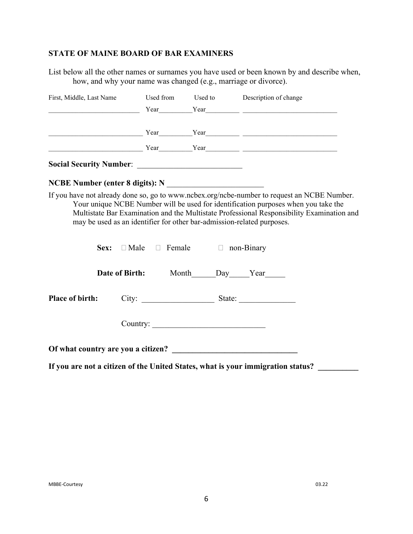### **STATE OF MAINE BOARD OF BAR EXAMINERS**

List below all the other names or surnames you have used or been known by and describe when, how, and why your name was changed (e.g., marriage or divorce).

| First, Middle, Last Name Used from Used to Description of change       |                                                         |                                                                                                                                                                                                                                                                                |
|------------------------------------------------------------------------|---------------------------------------------------------|--------------------------------------------------------------------------------------------------------------------------------------------------------------------------------------------------------------------------------------------------------------------------------|
|                                                                        |                                                         | $Year$ Year Year Year Year Year Year Year XV and Year Year Year XV and Year Year Year Year Year XV and Year Year Year XV and Year Year XV and Year Year Year Year XV and Year XV and Year XV and Year XV and Year XV and Year XV                                               |
|                                                                        |                                                         |                                                                                                                                                                                                                                                                                |
|                                                                        |                                                         | <u> Year</u> Year Year Year 2008 - 2008 - 2014 12:00 Pear Year 2014 12:00 Pear 2014 12:00 Pear 2014 12:00 Pear 2014 12:00 Pear 2014 12:00 Pear 2014 12:00 Pear 2014 12:00 Pear 2014 12:00 Pear 2014 12:00 Pear 2014 12:00 Pear 2014                                            |
|                                                                        |                                                         |                                                                                                                                                                                                                                                                                |
|                                                                        |                                                         |                                                                                                                                                                                                                                                                                |
| may be used as an identifier for other bar-admission-related purposes. | <b>Sex:</b> $\Box$ Male $\Box$ Female $\Box$ non-Binary | If you have not already done so, go to www.ncbex.org/ncbe-number to request an NCBE Number.<br>Your unique NCBE Number will be used for identification purposes when you take the<br>Multistate Bar Examination and the Multistate Professional Responsibility Examination and |
|                                                                        | Date of Birth: Month_____Day____Year_____               |                                                                                                                                                                                                                                                                                |
| <b>Place of birth:</b>                                                 |                                                         |                                                                                                                                                                                                                                                                                |
|                                                                        | Country:                                                |                                                                                                                                                                                                                                                                                |
|                                                                        |                                                         |                                                                                                                                                                                                                                                                                |

**If you are not a citizen of the United States, what is your immigration status? \_\_\_\_\_\_\_\_\_\_**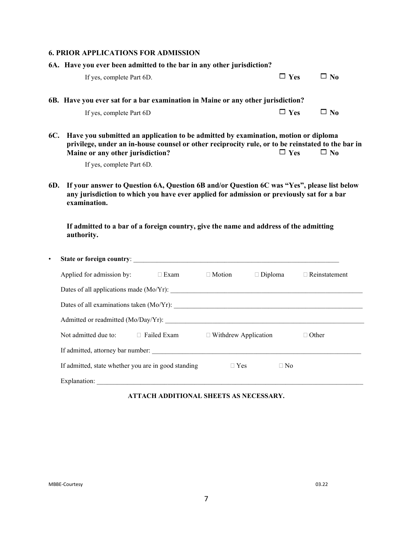#### **6. PRIOR APPLICATIONS FOR ADMISSION**

| 6A. Have you ever been admitted to the bar in any other jurisdiction?                  |            |           |
|----------------------------------------------------------------------------------------|------------|-----------|
| If yes, complete Part 6D.                                                              | $\Box$ Yes | $\Box$ No |
| 6B. Have you ever sat for a bar examination in Maine or any other jurisdiction?        |            |           |
| If yes, complete Part 6D                                                               | $\Box$ Yes | $\Box$ No |
| 6C. Have you submitted an application to be admitted by examination, motion or diploma |            |           |

**privilege, under an in-house counsel or other reciprocity rule, or to be reinstated to the bar in**<br>Maine or any other jurisdiction?  $\Box$  Yes  $\Box$  No **Maine or any other jurisdiction?**  $\Box$  Yes  $\Box$  No

If yes, complete Part 6D.

**6D. If your answer to Question 6A, Question 6B and/or Question 6C was "Yes", please list below any jurisdiction to which you have ever applied for admission or previously sat for a bar examination.** 

**If admitted to a bar of a foreign country, give the name and address of the admitting authority.**

| ٠ |                                                     |             |                             |                |           |                      |
|---|-----------------------------------------------------|-------------|-----------------------------|----------------|-----------|----------------------|
|   | Applied for admission by:                           | $\Box$ Exam | $\Box$ Motion               | $\Box$ Diploma |           | $\Box$ Reinstatement |
|   |                                                     |             |                             |                |           |                      |
|   |                                                     |             |                             |                |           |                      |
|   |                                                     |             |                             |                |           |                      |
|   | Not admitted due to: $\Box$ Failed Exam             |             | $\Box$ Withdrew Application |                |           | ⊺Other               |
|   |                                                     |             |                             |                |           |                      |
|   | If admitted, state whether you are in good standing |             | $\Box$ Yes                  |                | $\Box$ No |                      |
|   | Explanation:                                        |             |                             |                |           |                      |

**ATTACH ADDITIONAL SHEETS AS NECESSARY.**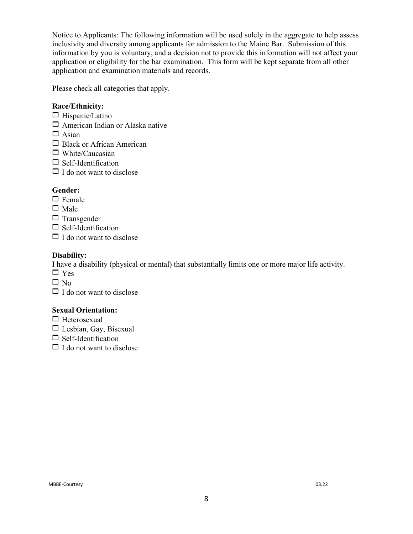Notice to Applicants: The following information will be used solely in the aggregate to help assess inclusivity and diversity among applicants for admission to the Maine Bar. Submission of this information by you is voluntary, and a decision not to provide this information will not affect your application or eligibility for the bar examination. This form will be kept separate from all other application and examination materials and records.

Please check all categories that apply.

### **Race/Ethnicity:**

- $\Box$  Hispanic/Latino
- $\Box$  American Indian or Alaska native
- $\Box$  Asian
- $\Box$  Black or African American
- $\Box$  White/Caucasian
- $\Box$  Self-Identification
- $\Box$  I do not want to disclose

### **Gender:**

- $\Box$  Female
- $\square$  Male
- $\Box$  Transgender
- $\Box$  Self-Identification
- $\Box$  I do not want to disclose

#### **Disability:**

I have a disability (physical or mental) that substantially limits one or more major life activity.

- $\Box$  Yes
- $\Box$  No
- $\Box$  I do not want to disclose

#### **Sexual Orientation:**

- $\Box$  Heterosexual
- $\Box$  Lesbian, Gay, Bisexual
- $\Box$  Self-Identification
- $\Box$  I do not want to disclose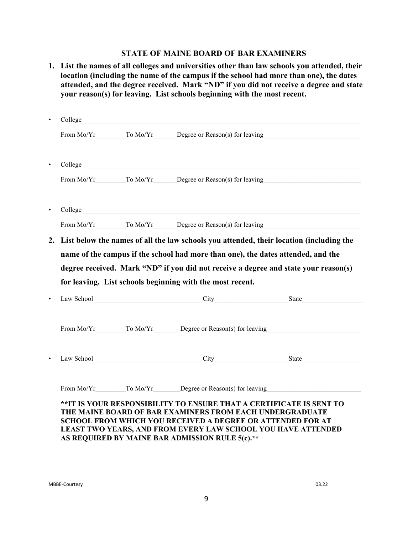### **STATE OF MAINE BOARD OF BAR EXAMINERS**

|           |            | your reason(s) for leaving. List schools beginning with the most recent.                                                                                                                                                                                                                                                 | 1. List the names of all colleges and universities other than law schools you attended, their<br>location (including the name of the campus if the school had more than one), the dates<br>attended, and the degree received. Mark "ND" if you did not receive a degree and state |
|-----------|------------|--------------------------------------------------------------------------------------------------------------------------------------------------------------------------------------------------------------------------------------------------------------------------------------------------------------------------|-----------------------------------------------------------------------------------------------------------------------------------------------------------------------------------------------------------------------------------------------------------------------------------|
| $\bullet$ |            |                                                                                                                                                                                                                                                                                                                          |                                                                                                                                                                                                                                                                                   |
|           |            |                                                                                                                                                                                                                                                                                                                          |                                                                                                                                                                                                                                                                                   |
|           |            |                                                                                                                                                                                                                                                                                                                          |                                                                                                                                                                                                                                                                                   |
|           |            |                                                                                                                                                                                                                                                                                                                          |                                                                                                                                                                                                                                                                                   |
|           |            |                                                                                                                                                                                                                                                                                                                          |                                                                                                                                                                                                                                                                                   |
|           |            |                                                                                                                                                                                                                                                                                                                          |                                                                                                                                                                                                                                                                                   |
|           |            | for leaving. List schools beginning with the most recent.                                                                                                                                                                                                                                                                | degree received. Mark "ND" if you did not receive a degree and state your reason(s)                                                                                                                                                                                               |
|           |            |                                                                                                                                                                                                                                                                                                                          |                                                                                                                                                                                                                                                                                   |
|           |            | From Mo/Yr To Mo/Yr Degree or Reason(s) for leaving                                                                                                                                                                                                                                                                      |                                                                                                                                                                                                                                                                                   |
|           | Law School | City                                                                                                                                                                                                                                                                                                                     | State                                                                                                                                                                                                                                                                             |
|           |            | From Mo/Yr To Mo/Yr Degree or Reason(s) for leaving                                                                                                                                                                                                                                                                      |                                                                                                                                                                                                                                                                                   |
|           |            | ** IT IS YOUR RESPONSIBILITY TO ENSURE THAT A CERTIFICATE IS SENT TO<br>THE MAINE BOARD OF BAR EXAMINERS FROM EACH UNDERGRADUATE<br><b>SCHOOL FROM WHICH YOU RECEIVED A DEGREE OR ATTENDED FOR AT</b><br>LEAST TWO YEARS, AND FROM EVERY LAW SCHOOL YOU HAVE ATTENDED<br>AS REQUIRED BY MAINE BAR ADMISSION RULE 5(c).** |                                                                                                                                                                                                                                                                                   |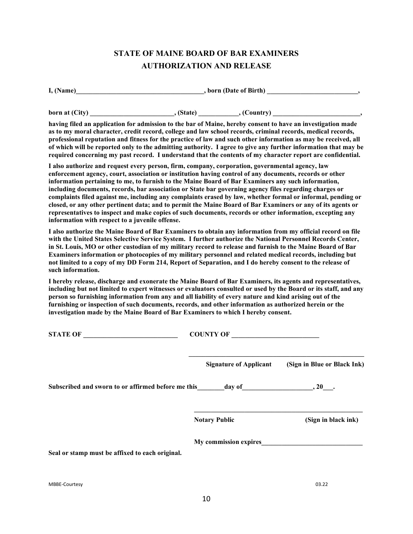# **STATE OF MAINE BOARD OF BAR EXAMINERS AUTHORIZATION AND RELEASE**

| I, (Name) | , born (Date of Birth) |  |
|-----------|------------------------|--|
|           |                        |  |

**born at (City)**  $\qquad \qquad$ , (State)  $\qquad \qquad$ , (Country)

**having filed an application for admission to the bar of Maine, hereby consent to have an investigation made as to my moral character, credit record, college and law school records, criminal records, medical records, professional reputation and fitness for the practice of law and such other information as may be received, all of which will be reported only to the admitting authority. I agree to give any further information that may be required concerning my past record. I understand that the contents of my character report are confidential.** 

**I also authorize and request every person, firm, company, corporation, governmental agency, law enforcement agency, court, association or institution having control of any documents, records or other information pertaining to me, to furnish to the Maine Board of Bar Examiners any such information, including documents, records, bar association or State bar governing agency files regarding charges or complaints filed against me, including any complaints erased by law, whether formal or informal, pending or closed, or any other pertinent data; and to permit the Maine Board of Bar Examiners or any of its agents or representatives to inspect and make copies of such documents, records or other information, excepting any information with respect to a juvenile offense.**

**I also authorize the Maine Board of Bar Examiners to obtain any information from my official record on file with the United States Selective Service System. I further authorize the National Personnel Records Center, in St. Louis, MO or other custodian of my military record to release and furnish to the Maine Board of Bar Examiners information or photocopies of my military personnel and related medical records, including but not limited to a copy of my DD Form 214, Report of Separation, and I do hereby consent to the release of such information.**

**I hereby release, discharge and exonerate the Maine Board of Bar Examiners, its agents and representatives, including but not limited to expert witnesses or evaluators consulted or used by the Board or its staff, and any person so furnishing information from any and all liability of every nature and kind arising out of the furnishing or inspection of such documents, records, and other information as authorized herein or the investigation made by the Maine Board of Bar Examiners to which I hereby consent.**

| <b>STATE OF</b>                                                                                                                                                                                                                | <b>COUNTY OF</b>              |                             |  |
|--------------------------------------------------------------------------------------------------------------------------------------------------------------------------------------------------------------------------------|-------------------------------|-----------------------------|--|
|                                                                                                                                                                                                                                | <b>Signature of Applicant</b> | (Sign in Blue or Black Ink) |  |
| Subscribed and sworn to or affirmed before me this day of the control of the control of the control of the control of the control of the control of the control of the control of the control of the control of the control of |                               |                             |  |
|                                                                                                                                                                                                                                | <b>Notary Public</b>          | (Sign in black ink)         |  |
|                                                                                                                                                                                                                                | My commission expires         |                             |  |
| Seal or stamp must be affixed to each original.                                                                                                                                                                                |                               |                             |  |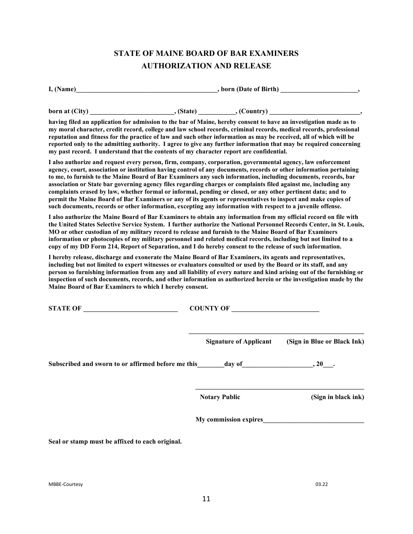# **STATE OF MAINE BOARD OF BAR EXAMINERS AUTHORIZATION AND RELEASE**

| I, (Name)      |            | , born (Date of Birth)                                                                                            |  |  |
|----------------|------------|-------------------------------------------------------------------------------------------------------------------|--|--|
| born at (City) | . (State). | , (Country)                                                                                                       |  |  |
|                |            | having filed an annlisedian fan admission to the han of Maine, hander sonoont to have an investigation mode op to |  |  |

**having filed an application for admission to the bar of Maine, hereby consent to have an investigation made as to my moral character, credit record, college and law school records, criminal records, medical records, professional reputation and fitness for the practice of law and such other information as may be received, all of which will be reported only to the admitting authority. I agree to give any further information that may be required concerning my past record. I understand that the contents of my character report are confidential.**

**I also authorize and request every person, firm, company, corporation, governmental agency, law enforcement agency, court, association or institution having control of any documents, records or other information pertaining to me, to furnish to the Maine Board of Bar Examiners any such information, including documents, records, bar association or State bar governing agency files regarding charges or complaints filed against me, including any complaints erased by law, whether formal or informal, pending or closed, or any other pertinent data; and to permit the Maine Board of Bar Examiners or any of its agents or representatives to inspect and make copies of such documents, records or other information, excepting any information with respect to a juvenile offense.**

**I also authorize the Maine Board of Bar Examiners to obtain any information from my official record on file with the United States Selective Service System. I further authorize the National Personnel Records Center, in St. Louis, MO or other custodian of my military record to release and furnish to the Maine Board of Bar Examiners information or photocopies of my military personnel and related medical records, including but not limited to a copy of my DD Form 214, Report of Separation, and I do hereby consent to the release of such information.**

**I hereby release, discharge and exonerate the Maine Board of Bar Examiners, its agents and representatives, including but not limited to expert witnesses or evaluators consulted or used by the Board or its staff, and any person so furnishing information from any and all liability of every nature and kind arising out of the furnishing or inspection of such documents, records, and other information as authorized herein or the investigation made by the Maine Board of Bar Examiners to which I hereby consent.**

| <b>STATE OF</b><br><u> 1980 - Jan Barbara Barbara, manazarta </u>                                                                                                                                                              | COUNTY OF                     |                             |  |
|--------------------------------------------------------------------------------------------------------------------------------------------------------------------------------------------------------------------------------|-------------------------------|-----------------------------|--|
|                                                                                                                                                                                                                                | <b>Signature of Applicant</b> | (Sign in Blue or Black Ink) |  |
| Subscribed and sworn to or affirmed before me this day of the control of the control of the control of the control of the control of the control of the control of the control of the control of the control of the control of |                               |                             |  |
|                                                                                                                                                                                                                                | <b>Notary Public</b>          | (Sign in black ink)         |  |
|                                                                                                                                                                                                                                | My commission expires         |                             |  |

**Seal or stamp must be affixed to each original.**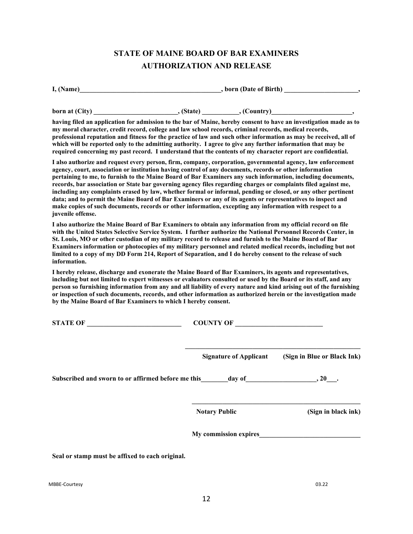# **STATE OF MAINE BOARD OF BAR EXAMINERS AUTHORIZATION AND RELEASE**

| I. (Name)                                                                                                         | , born (Date of Birth) |             |  |
|-------------------------------------------------------------------------------------------------------------------|------------------------|-------------|--|
| born at (City)                                                                                                    | . (State).             | . (Country) |  |
| having filed an application for admission to the bar of Maine, hereby consent to have an investigation made as to |                        |             |  |

**my moral character, credit record, college and law school records, criminal records, medical records, professional reputation and fitness for the practice of law and such other information as may be received, all of which will be reported only to the admitting authority. I agree to give any further information that may be required concerning my past record. I understand that the contents of my character report are confidential.**

**I also authorize and request every person, firm, company, corporation, governmental agency, law enforcement agency, court, association or institution having control of any documents, records or other information pertaining to me, to furnish to the Maine Board of Bar Examiners any such information, including documents, records, bar association or State bar governing agency files regarding charges or complaints filed against me, including any complaints erased by law, whether formal or informal, pending or closed, or any other pertinent data; and to permit the Maine Board of Bar Examiners or any of its agents or representatives to inspect and make copies of such documents, records or other information, excepting any information with respect to a juvenile offense.**

**I also authorize the Maine Board of Bar Examiners to obtain any information from my official record on file with the United States Selective Service System. I further authorize the National Personnel Records Center, in St. Louis, MO or other custodian of my military record to release and furnish to the Maine Board of Bar Examiners information or photocopies of my military personnel and related medical records, including but not limited to a copy of my DD Form 214, Report of Separation, and I do hereby consent to the release of such information.**

**I hereby release, discharge and exonerate the Maine Board of Bar Examiners, its agents and representatives, including but not limited to expert witnesses or evaluators consulted or used by the Board or its staff, and any person so furnishing information from any and all liability of every nature and kind arising out of the furnishing or inspection of such documents, records, and other information as authorized herein or the investigation made by the Maine Board of Bar Examiners to which I hereby consent.**

| STATE OF                                                  | COUNTY OF                     |                             |
|-----------------------------------------------------------|-------------------------------|-----------------------------|
|                                                           | <b>Signature of Applicant</b> | (Sign in Blue or Black Ink) |
| Subscribed and sworn to or affirmed before me this day of |                               | $, 20$ .                    |
|                                                           | <b>Notary Public</b>          | (Sign in black ink)         |
|                                                           |                               | My commission expires       |
| Seal or stamp must be affixed to each original.           |                               |                             |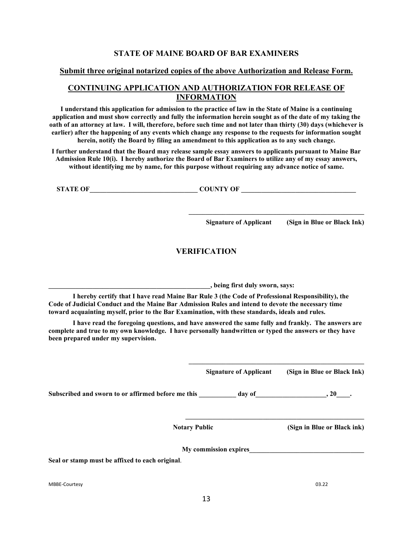### **STATE OF MAINE BOARD OF BAR EXAMINERS**

#### **Submit three original notarized copies of the above Authorization and Release Form.**

### **CONTINUING APPLICATION AND AUTHORIZATION FOR RELEASE OF INFORMATION**

**I understand this application for admission to the practice of law in the State of Maine is a continuing application and must show correctly and fully the information herein sought as of the date of my taking the oath of an attorney at law. I will, therefore, before such time and not later than thirty (30) days (whichever is earlier) after the happening of any events which change any response to the requests for information sought herein, notify the Board by filing an amendment to this application as to any such change.**

**I further understand that the Board may release sample essay answers to applicants pursuant to Maine Bar Admission Rule 10(i). I hereby authorize the Board of Bar Examiners to utilize any of my essay answers, without identifying me by name, for this purpose without requiring any advance notice of same.**

**STATE OF\_\_\_\_\_\_\_\_\_\_\_\_\_\_\_\_\_\_\_\_\_\_\_\_\_\_\_\_\_\_\_\_ COUNTY OF \_\_\_\_\_\_\_\_\_\_\_\_\_\_\_\_\_\_\_\_\_\_\_\_\_\_\_\_\_\_\_\_\_\_**

**Signature of Applicant (Sign in Blue or Black Ink)**

**\_\_\_\_\_\_\_\_\_\_\_\_\_\_\_\_\_\_\_\_\_\_\_\_\_\_\_\_\_\_\_\_\_\_\_\_\_\_\_\_\_\_\_\_\_\_\_\_\_\_\_\_**

### **VERIFICATION**

**\_\_\_\_\_\_\_\_\_\_\_\_\_\_\_\_\_\_\_\_\_\_\_\_\_\_\_\_\_\_\_\_\_\_\_\_\_\_\_\_\_\_\_\_\_\_\_\_, being first duly sworn, says:**

**I hereby certify that I have read Maine Bar Rule 3 (the Code of Professional Responsibility), the Code of Judicial Conduct and the Maine Bar Admission Rules and intend to devote the necessary time toward acquainting myself, prior to the Bar Examination, with these standards, ideals and rules.**

**I have read the foregoing questions, and have answered the same fully and frankly. The answers are complete and true to my own knowledge. I have personally handwritten or typed the answers or they have been prepared under my supervision.**

**Signature of Applicant (Sign in Blue or Black Ink)**

**\_\_\_\_\_\_\_\_\_\_\_\_\_\_\_\_\_\_\_\_\_\_\_\_\_\_\_\_\_\_\_\_\_\_\_\_\_\_\_\_\_\_\_\_\_\_\_\_\_\_\_\_**

**\_\_\_\_\_\_\_\_\_\_\_\_\_\_\_\_\_\_\_\_\_\_\_\_\_\_\_\_\_\_\_\_\_\_\_\_\_\_\_\_\_\_\_\_\_\_\_\_\_\_\_\_\_**

Subscribed and sworn to or affirmed before me this day of the same of the same of  $\sim$  20 and  $\sim$  20 and  $\sim$  20 and  $\sim$  20 and  $\sim$  20 and  $\sim$  20 and  $\sim$  20 and  $\sim$  20 and  $\sim$  20 and  $\sim$  20 and  $\sim$  20 and 20 and 2

**Notary Public (Sign in Blue or Black ink)**

**My commission expires\_\_\_\_\_\_\_\_\_\_\_\_\_\_\_\_\_\_\_\_\_\_\_\_\_\_\_\_\_\_\_\_\_\_**

**Seal or stamp must be affixed to each original**.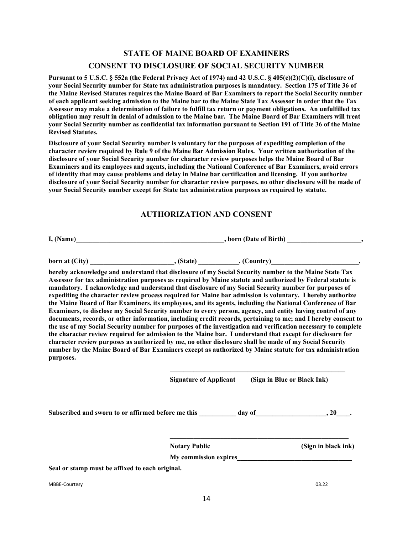# **STATE OF MAINE BOARD OF EXAMINERS CONSENT TO DISCLOSURE OF SOCIAL SECURITY NUMBER**

**Pursuant to 5 U.S.C. § 552a (the Federal Privacy Act of 1974) and 42 U.S.C. § 405(c)(2)(C)(i), disclosure of your Social Security number for State tax administration purposes is mandatory. Section 175 of Title 36 of the Maine Revised Statutes requires the Maine Board of Bar Examiners to report the Social Security number of each applicant seeking admission to the Maine bar to the Maine State Tax Assessor in order that the Tax Assessor may make a determination of failure to fulfill tax return or payment obligations. An unfulfilled tax obligation may result in denial of admission to the Maine bar. The Maine Board of Bar Examiners will treat your Social Security number as confidential tax information pursuant to Section 191 of Title 36 of the Maine Revised Statutes.**

**Disclosure of your Social Security number is voluntary for the purposes of expediting completion of the character review required by Rule 9 of the Maine Bar Admission Rules. Your written authorization of the disclosure of your Social Security number for character review purposes helps the Maine Board of Bar Examiners and its employees and agents, including the National Conference of Bar Examiners, avoid errors of identity that may cause problems and delay in Maine bar certification and licensing. If you authorize disclosure of your Social Security number for character review purposes, no other disclosure will be made of your Social Security number except for State tax administration purposes as required by statute.**

### **AUTHORIZATION AND CONSENT**

**I, (Name)\_\_\_\_\_\_\_\_\_\_\_\_\_\_\_\_\_\_\_\_\_\_\_\_\_\_\_\_\_\_\_\_\_\_\_\_\_\_\_\_\_\_\_\_, born (Date of Birth) \_\_\_\_\_\_\_\_\_\_\_\_\_\_\_\_\_\_\_\_\_\_,**

**born at (City)**  $\qquad \qquad$  (State)  $\qquad \qquad$  (Country)

**hereby acknowledge and understand that disclosure of my Social Security number to the Maine State Tax Assessor for tax administration purposes as required by Maine statute and authorized by Federal statute is mandatory. I acknowledge and understand that disclosure of my Social Security number for purposes of expediting the character review process required for Maine bar admission is voluntary. I hereby authorize the Maine Board of Bar Examiners, its employees, and its agents, including the National Conference of Bar Examiners, to disclose my Social Security number to every person, agency, and entity having control of any documents, records, or other information, including credit records, pertaining to me; and I hereby consent to the use of my Social Security number for purposes of the investigation and verification necessary to complete the character review required for admission to the Maine bar. I understand that except for disclosure for character review purposes as authorized by me, no other disclosure shall be made of my Social Security number by the Maine Board of Bar Examiners except as authorized by Maine statute for tax administration purposes.**

**Signature of Applicant (Sign in Blue or Black Ink)**

**\_\_\_\_\_\_\_\_\_\_\_\_\_\_\_\_\_\_\_\_\_\_\_\_\_\_\_\_\_\_\_\_\_\_\_\_\_\_\_\_\_\_\_\_\_\_\_\_\_\_\_\_**

**\_\_\_\_\_\_\_\_\_\_\_\_\_\_\_\_\_\_\_\_\_\_\_\_\_\_\_\_\_\_\_\_\_\_\_\_\_\_\_\_\_\_\_\_\_\_\_\_\_\_\_\_\_**

Subscribed and sworn to or affirmed before me this \_\_\_\_\_\_\_\_\_\_\_\_ day of  $\qquad \qquad$ , 20  $\qquad$ .

**Notary Public (Sign in black ink)**

**My commission expires\_\_\_\_\_\_\_\_\_\_\_\_\_\_\_\_\_\_\_\_\_\_\_\_\_\_\_\_\_\_\_\_\_\_**

**Seal or stamp must be affixed to each original.**

MBBE-Courtesy 03.22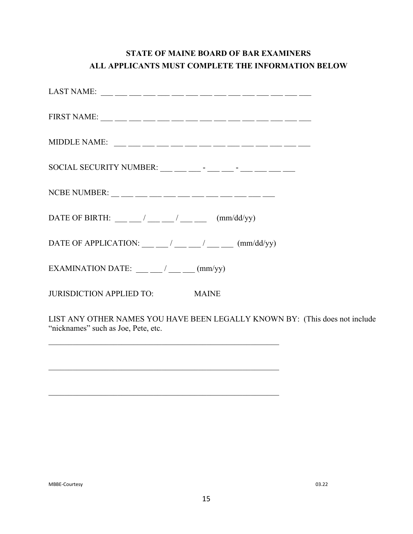# **STATE OF MAINE BOARD OF BAR EXAMINERS ALL APPLICANTS MUST COMPLETE THE INFORMATION BELOW**

| DATE OF BIRTH: $\frac{1}{\sqrt{2\pi}}$ / $\frac{1}{\sqrt{2\pi}}$ (mm/dd/yy)                       |
|---------------------------------------------------------------------------------------------------|
| DATE OF APPLICATION: $\frac{1}{\sqrt{2\pi}}$ / $\frac{1}{\sqrt{2\pi}}$ (mm/dd/yy)                 |
| EXAMINATION DATE: $\frac{1}{\frac{1}{2}}$ (mm/yy)                                                 |
| JURISDICTION APPLIED TO: MAINE                                                                    |
| LIST ANY OTHER NAMES YOU HAVE BEEN LEGALLY KNOWN BY: (This<br>"nicknames" such as Joe, Pete, etc. |

\_\_\_\_\_\_\_\_\_\_\_\_\_\_\_\_\_\_\_\_\_\_\_\_\_\_\_\_\_\_\_\_\_\_\_\_\_\_\_\_\_\_\_\_\_\_\_\_\_\_\_\_\_\_\_\_\_

 $\mathcal{L}_\text{max} = \mathcal{L}_\text{max} = \mathcal{L}_\text{max} = \mathcal{L}_\text{max} = \mathcal{L}_\text{max} = \mathcal{L}_\text{max} = \mathcal{L}_\text{max} = \mathcal{L}_\text{max} = \mathcal{L}_\text{max} = \mathcal{L}_\text{max} = \mathcal{L}_\text{max} = \mathcal{L}_\text{max} = \mathcal{L}_\text{max} = \mathcal{L}_\text{max} = \mathcal{L}_\text{max} = \mathcal{L}_\text{max} = \mathcal{L}_\text{max} = \mathcal{L}_\text{max} = \mathcal{$ 

\_\_\_\_\_\_\_\_\_\_\_\_\_\_\_\_\_\_\_\_\_\_\_\_\_\_\_\_\_\_\_\_\_\_\_\_\_\_\_\_\_\_\_\_\_\_\_\_\_\_\_\_\_\_\_\_\_

does not include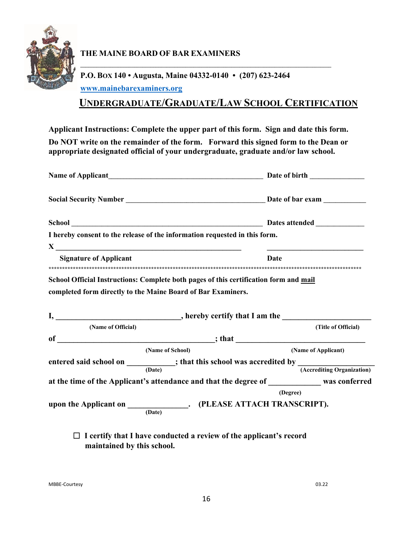

## **THE MAINE BOARD OF BAR EXAMINERS**

# **P.O. BOX 140 • Augusta, Maine 04332-0140 • (207) 623-2464 [www.mainebarexaminers.org](http://www.mainebarexaminers.org/)**

# **UNDERGRADUATE/GRADUATE/LAW SCHOOL CERTIFICATION**

**\_\_\_\_\_\_\_\_\_\_\_\_\_\_\_\_\_\_\_\_\_\_\_\_\_\_\_\_\_\_\_\_\_\_\_\_\_\_\_\_\_\_\_\_\_\_\_\_\_\_\_\_\_\_\_\_\_\_\_\_\_\_\_\_\_\_\_\_\_\_\_\_\_\_\_\_\_\_\_\_\_\_\_\_\_\_\_\_\_\_\_\_\_**

**Applicant Instructions: Complete the upper part of this form. Sign and date this form. Do NOT write on the remainder of the form. Forward this signed form to the Dean or appropriate designated official of your undergraduate, graduate and/or law school.** 

| I hereby consent to the release of the information requested in this form.                                                                            |                     |  |
|-------------------------------------------------------------------------------------------------------------------------------------------------------|---------------------|--|
| <b>Signature of Applicant</b><br>Date                                                                                                                 |                     |  |
| School Official Instructions: Complete both pages of this certification form and mail<br>completed form directly to the Maine Board of Bar Examiners. |                     |  |
| (Name of Official)                                                                                                                                    | (Title of Official) |  |
|                                                                                                                                                       |                     |  |
| (Name of School)                                                                                                                                      | (Name of Applicant) |  |
| entered said school on $\frac{ }{(Date)}$ ; that this school was accredited by $\frac{ }{(According Organization)}$                                   |                     |  |
| at the time of the Applicant's attendance and that the degree of ____________ was conferred                                                           |                     |  |
| (Degree)                                                                                                                                              |                     |  |
| upon the Applicant on _______________. (PLEASE ATTACH TRANSCRIPT).<br>(Date)                                                                          |                     |  |

### **I certify that I have conducted a review of the applicant's record maintained by this school.**

MBBE-Courtesy 03.22